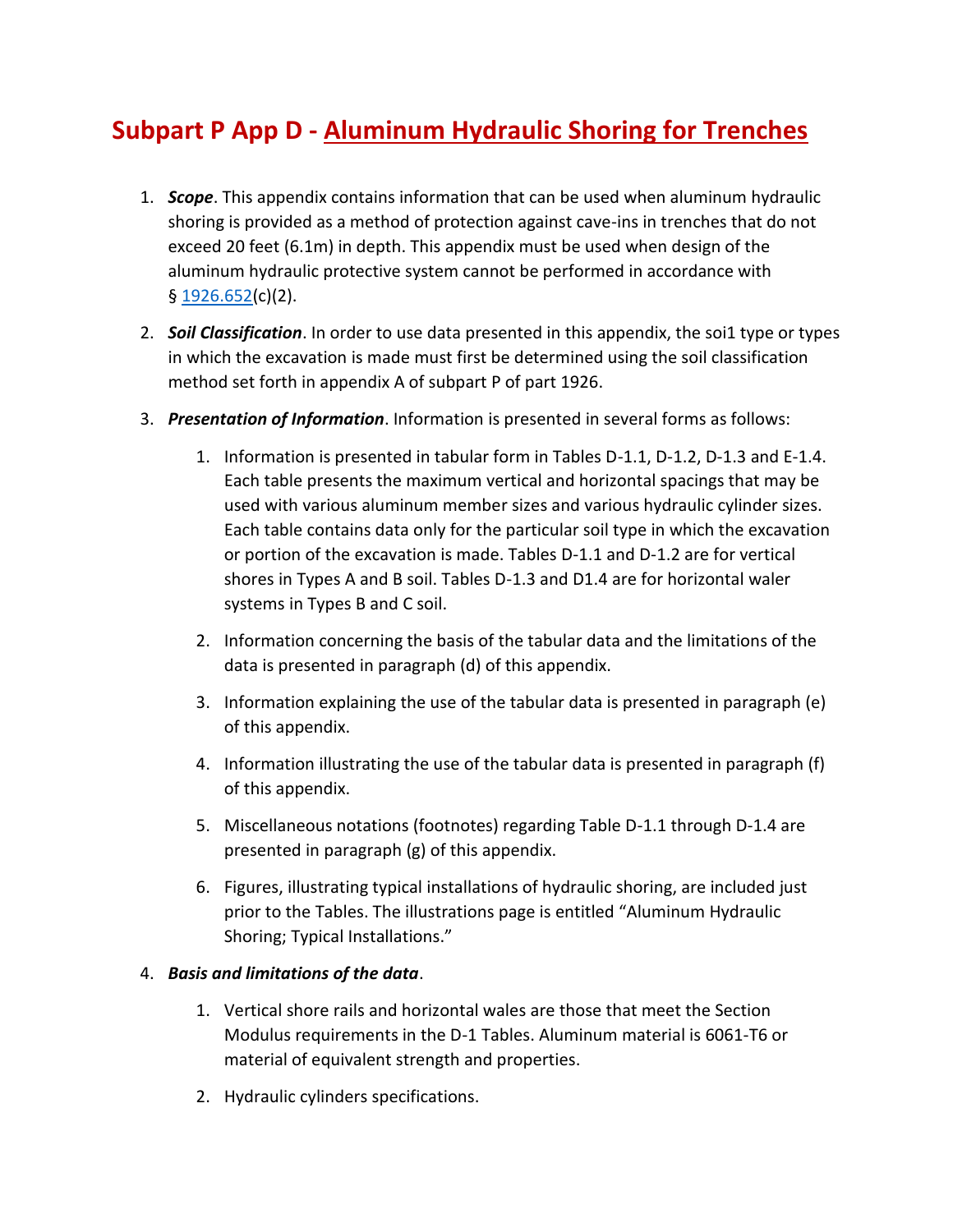# **Subpart P App D - Aluminum Hydraulic Shoring for Trenches**

- 1. *Scope*. This appendix contains information that can be used when aluminum hydraulic shoring is provided as a method of protection against cave-ins in trenches that do not exceed 20 feet (6.1m) in depth. This appendix must be used when design of the aluminum hydraulic protective system cannot be performed in accordance with  $§$  [1926.652\(](https://up.codes/viewer/osha-1926-construction/chapter/P/excavations#1926.652)c)(2).
- 2. *Soil Classification*. In order to use data presented in this appendix, the soi1 type or types in which the excavation is made must first be determined using the soil classification method set forth in appendix A of subpart P of part 1926.
- 3. *Presentation of Information*. Information is presented in several forms as follows:
	- 1. Information is presented in tabular form in Tables D-1.1, D-1.2, D-1.3 and E-1.4. Each table presents the maximum vertical and horizontal spacings that may be used with various aluminum member sizes and various hydraulic cylinder sizes. Each table contains data only for the particular soil type in which the excavation or portion of the excavation is made. Tables D-1.1 and D-1.2 are for vertical shores in Types A and B soil. Tables D-1.3 and D1.4 are for horizontal waler systems in Types B and C soil.
	- 2. Information concerning the basis of the tabular data and the limitations of the data is presented in paragraph (d) of this appendix.
	- 3. Information explaining the use of the tabular data is presented in paragraph (e) of this appendix.
	- 4. Information illustrating the use of the tabular data is presented in paragraph (f) of this appendix.
	- 5. Miscellaneous notations (footnotes) regarding Table D-1.1 through D-1.4 are presented in paragraph (g) of this appendix.
	- 6. Figures, illustrating typical installations of hydraulic shoring, are included just prior to the Tables. The illustrations page is entitled "Aluminum Hydraulic Shoring; Typical Installations."

#### 4. *Basis and limitations of the data*.

- 1. Vertical shore rails and horizontal wales are those that meet the Section Modulus requirements in the D-1 Tables. Aluminum material is 6061-T6 or material of equivalent strength and properties.
- 2. Hydraulic cylinders specifications.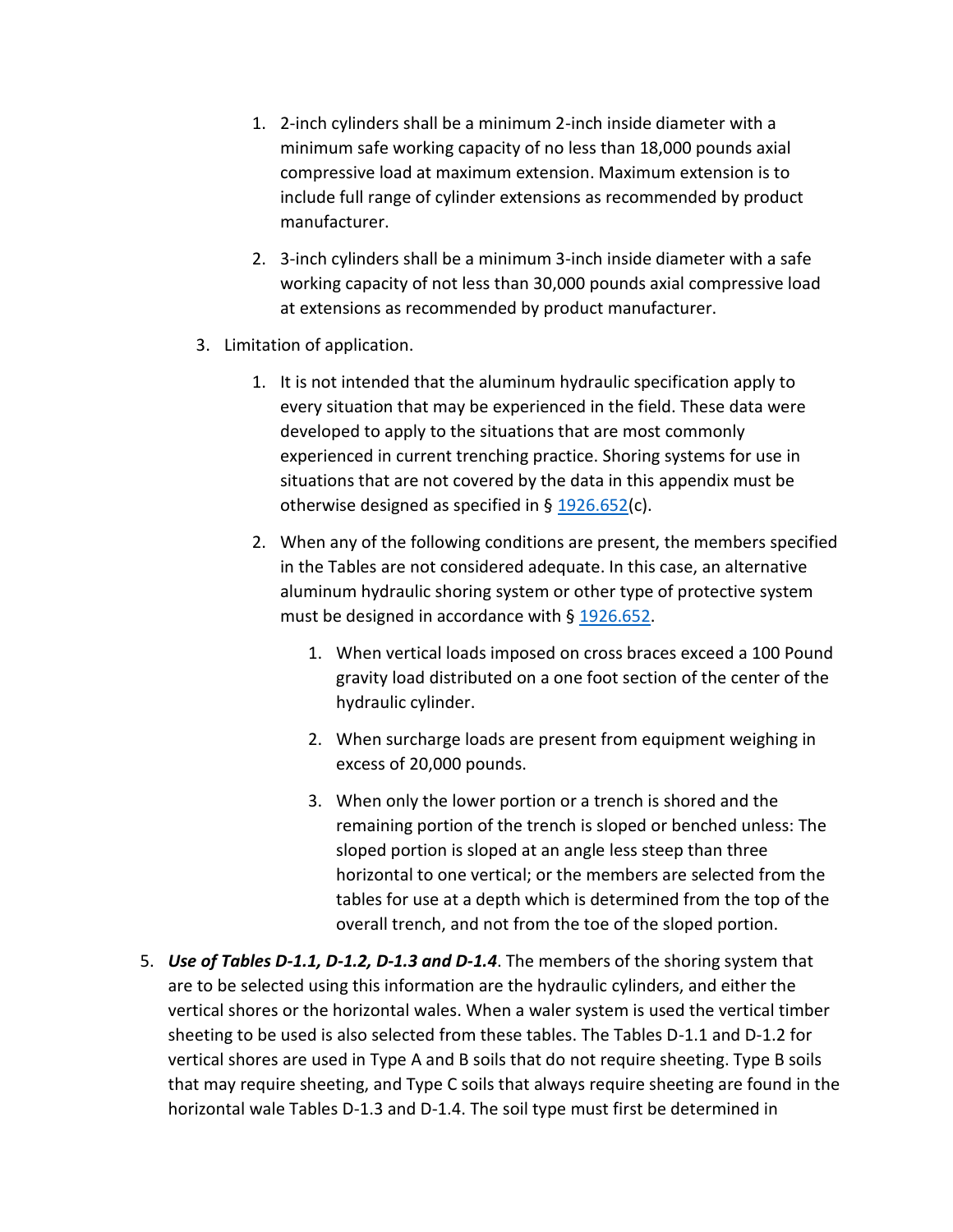- 1. 2-inch cylinders shall be a minimum 2-inch inside diameter with a minimum safe working capacity of no less than 18,000 pounds axial compressive load at maximum extension. Maximum extension is to include full range of cylinder extensions as recommended by product manufacturer.
- 2. 3-inch cylinders shall be a minimum 3-inch inside diameter with a safe working capacity of not less than 30,000 pounds axial compressive load at extensions as recommended by product manufacturer.
- 3. Limitation of application.
	- 1. It is not intended that the aluminum hydraulic specification apply to every situation that may be experienced in the field. These data were developed to apply to the situations that are most commonly experienced in current trenching practice. Shoring systems for use in situations that are not covered by the data in this appendix must be otherwise designed as specified in § [1926.652\(](https://up.codes/viewer/osha-1926-construction/chapter/P/excavations#1926.652)c).
	- 2. When any of the following conditions are present, the members specified in the Tables are not considered adequate. In this case, an alternative aluminum hydraulic shoring system or other type of protective system must be designed in accordance with § [1926.652.](https://up.codes/viewer/osha-1926-construction/chapter/P/excavations#1926.652)
		- 1. When vertical loads imposed on cross braces exceed a 100 Pound gravity load distributed on a one foot section of the center of the hydraulic cylinder.
		- 2. When surcharge loads are present from equipment weighing in excess of 20,000 pounds.
		- 3. When only the lower portion or a trench is shored and the remaining portion of the trench is sloped or benched unless: The sloped portion is sloped at an angle less steep than three horizontal to one vertical; or the members are selected from the tables for use at a depth which is determined from the top of the overall trench, and not from the toe of the sloped portion.
- 5. *Use of Tables D-1.1, D-1.2, D-1.3 and D-1.4*. The members of the shoring system that are to be selected using this information are the hydraulic cylinders, and either the vertical shores or the horizontal wales. When a waler system is used the vertical timber sheeting to be used is also selected from these tables. The Tables D-1.1 and D-1.2 for vertical shores are used in Type A and B soils that do not require sheeting. Type B soils that may require sheeting, and Type C soils that always require sheeting are found in the horizontal wale Tables D-1.3 and D-1.4. The soil type must first be determined in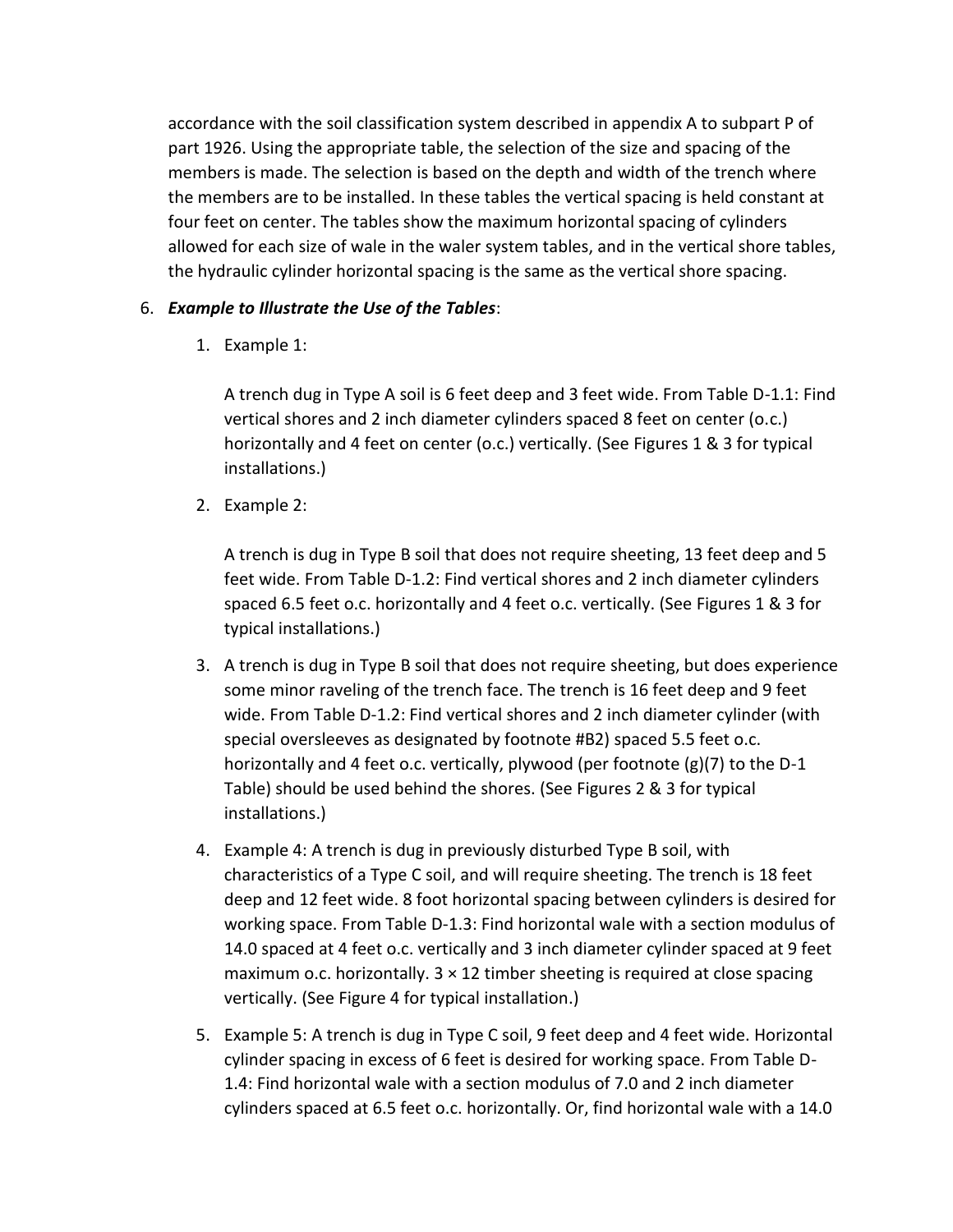accordance with the soil classification system described in appendix A to subpart P of part 1926. Using the appropriate table, the selection of the size and spacing of the members is made. The selection is based on the depth and width of the trench where the members are to be installed. In these tables the vertical spacing is held constant at four feet on center. The tables show the maximum horizontal spacing of cylinders allowed for each size of wale in the waler system tables, and in the vertical shore tables, the hydraulic cylinder horizontal spacing is the same as the vertical shore spacing.

### 6. *Example to Illustrate the Use of the Tables*:

1. Example 1:

A trench dug in Type A soil is 6 feet deep and 3 feet wide. From Table D-1.1: Find vertical shores and 2 inch diameter cylinders spaced 8 feet on center (o.c.) horizontally and 4 feet on center (o.c.) vertically. (See Figures 1 & 3 for typical installations.)

2. Example 2:

A trench is dug in Type B soil that does not require sheeting, 13 feet deep and 5 feet wide. From Table D-1.2: Find vertical shores and 2 inch diameter cylinders spaced 6.5 feet o.c. horizontally and 4 feet o.c. vertically. (See Figures 1 & 3 for typical installations.)

- 3. A trench is dug in Type B soil that does not require sheeting, but does experience some minor raveling of the trench face. The trench is 16 feet deep and 9 feet wide. From Table D-1.2: Find vertical shores and 2 inch diameter cylinder (with special oversleeves as designated by footnote #B2) spaced 5.5 feet o.c. horizontally and 4 feet o.c. vertically, plywood (per footnote (g)(7) to the D-1 Table) should be used behind the shores. (See Figures 2 & 3 for typical installations.)
- 4. Example 4: A trench is dug in previously disturbed Type B soil, with characteristics of a Type C soil, and will require sheeting. The trench is 18 feet deep and 12 feet wide. 8 foot horizontal spacing between cylinders is desired for working space. From Table D-1.3: Find horizontal wale with a section modulus of 14.0 spaced at 4 feet o.c. vertically and 3 inch diameter cylinder spaced at 9 feet maximum o.c. horizontally.  $3 \times 12$  timber sheeting is required at close spacing vertically. (See Figure 4 for typical installation.)
- 5. Example 5: A trench is dug in Type C soil, 9 feet deep and 4 feet wide. Horizontal cylinder spacing in excess of 6 feet is desired for working space. From Table D-1.4: Find horizontal wale with a section modulus of 7.0 and 2 inch diameter cylinders spaced at 6.5 feet o.c. horizontally. Or, find horizontal wale with a 14.0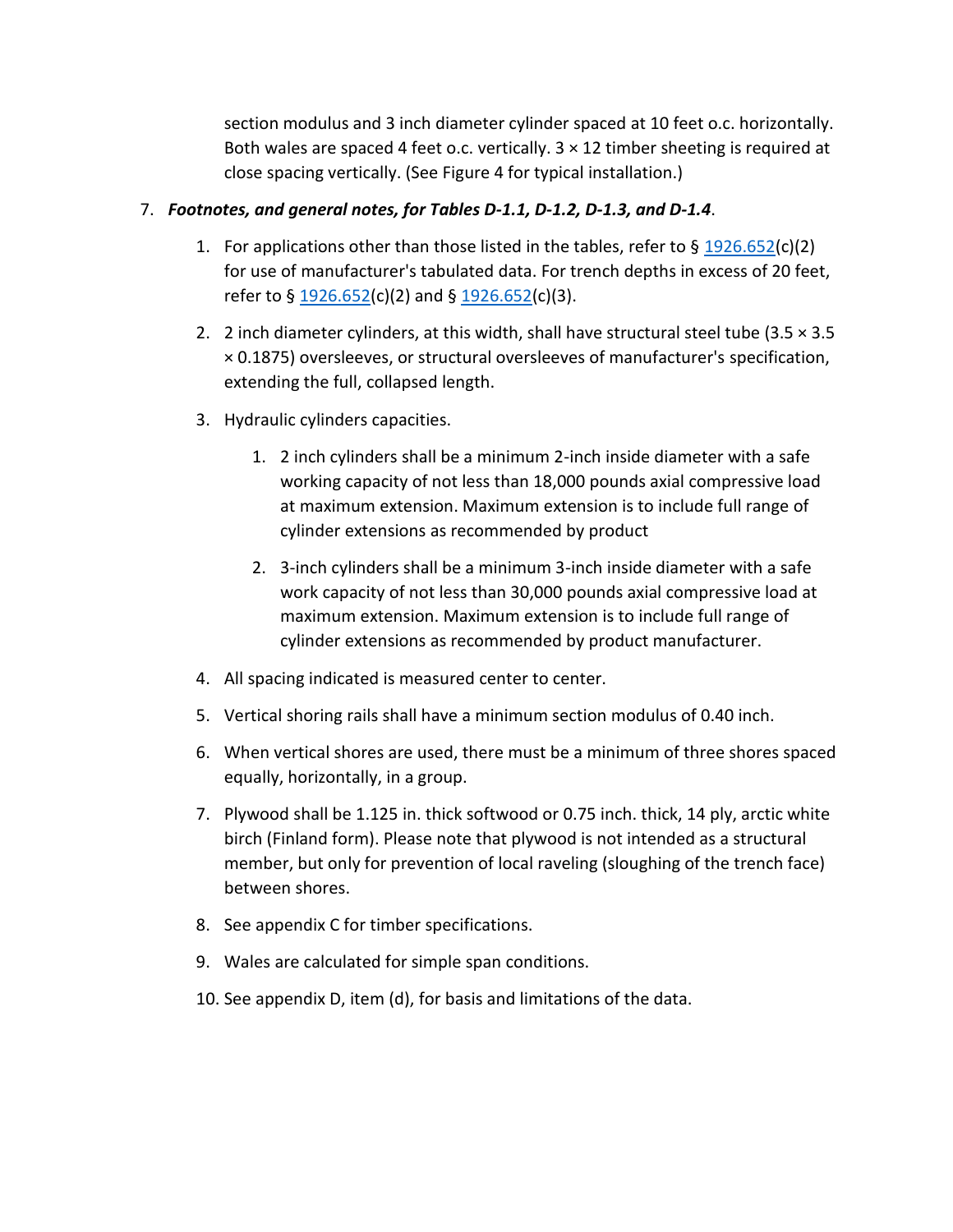section modulus and 3 inch diameter cylinder spaced at 10 feet o.c. horizontally. Both wales are spaced 4 feet o.c. vertically.  $3 \times 12$  timber sheeting is required at close spacing vertically. (See Figure 4 for typical installation.)

### 7. *Footnotes, and general notes, for Tables D-1.1, D-1.2, D-1.3, and D-1.4*.

- 1. For applications other than those listed in the tables, refer to  $\S$  [1926.652\(](https://up.codes/viewer/osha-1926-construction/chapter/P/excavations#1926.652)c)(2) for use of manufacturer's tabulated data. For trench depths in excess of 20 feet, refer to §  $1926.652(c)(2)$  $1926.652(c)(2)$  and §  $1926.652(c)(3)$ .
- 2. 2 inch diameter cylinders, at this width, shall have structural steel tube  $(3.5 \times 3.5)$ × 0.1875) oversleeves, or structural oversleeves of manufacturer's specification, extending the full, collapsed length.
- 3. Hydraulic cylinders capacities.
	- 1. 2 inch cylinders shall be a minimum 2-inch inside diameter with a safe working capacity of not less than 18,000 pounds axial compressive load at maximum extension. Maximum extension is to include full range of cylinder extensions as recommended by product
	- 2. 3-inch cylinders shall be a minimum 3-inch inside diameter with a safe work capacity of not less than 30,000 pounds axial compressive load at maximum extension. Maximum extension is to include full range of cylinder extensions as recommended by product manufacturer.
- 4. All spacing indicated is measured center to center.
- 5. Vertical shoring rails shall have a minimum section modulus of 0.40 inch.
- 6. When vertical shores are used, there must be a minimum of three shores spaced equally, horizontally, in a group.
- 7. Plywood shall be 1.125 in. thick softwood or 0.75 inch. thick, 14 ply, arctic white birch (Finland form). Please note that plywood is not intended as a structural member, but only for prevention of local raveling (sloughing of the trench face) between shores.
- 8. See appendix C for timber specifications.
- 9. Wales are calculated for simple span conditions.
- 10. See appendix D, item (d), for basis and limitations of the data.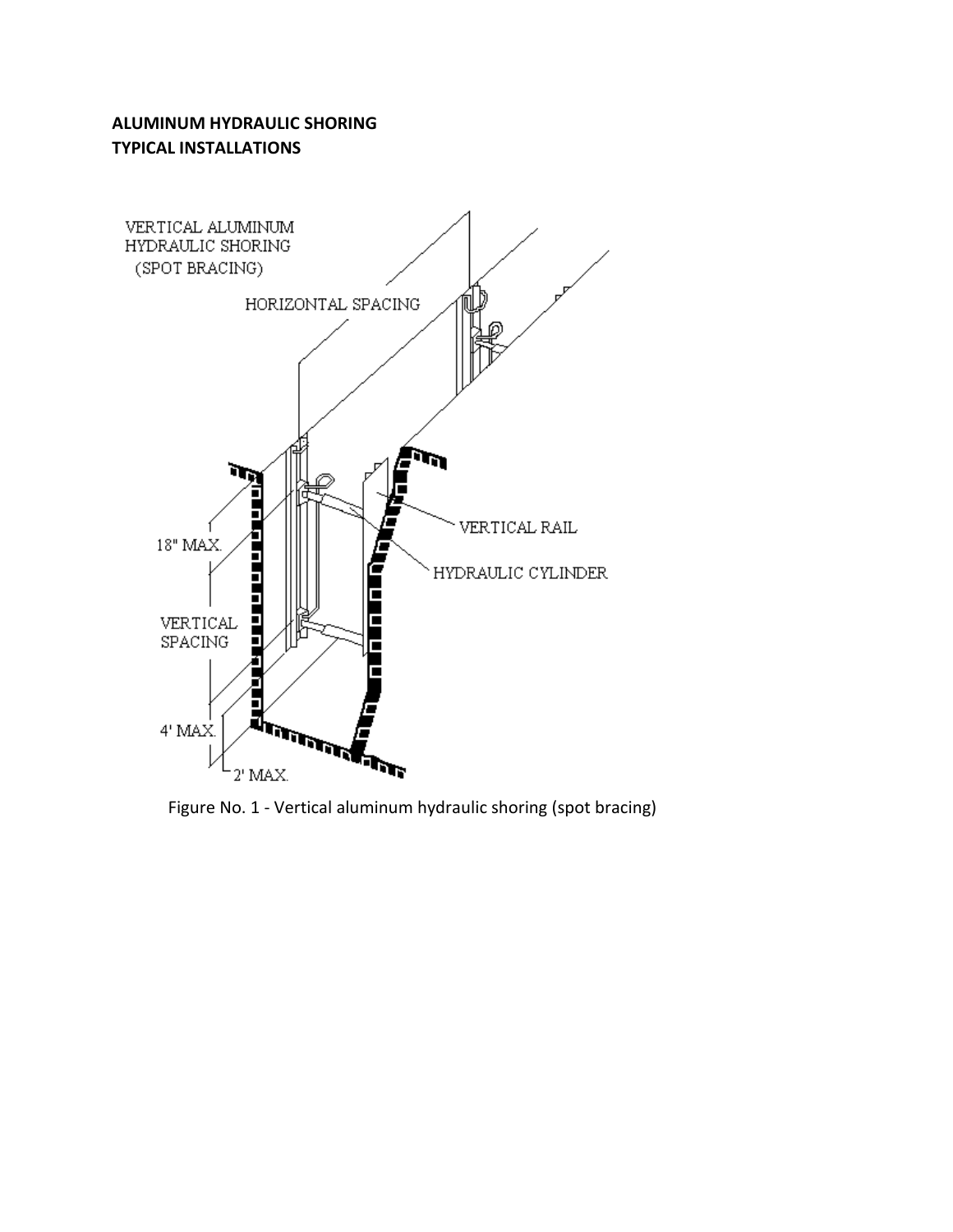## **ALUMINUM HYDRAULIC SHORING TYPICAL INSTALLATIONS**



Figure No. 1 - Vertical aluminum hydraulic shoring (spot bracing)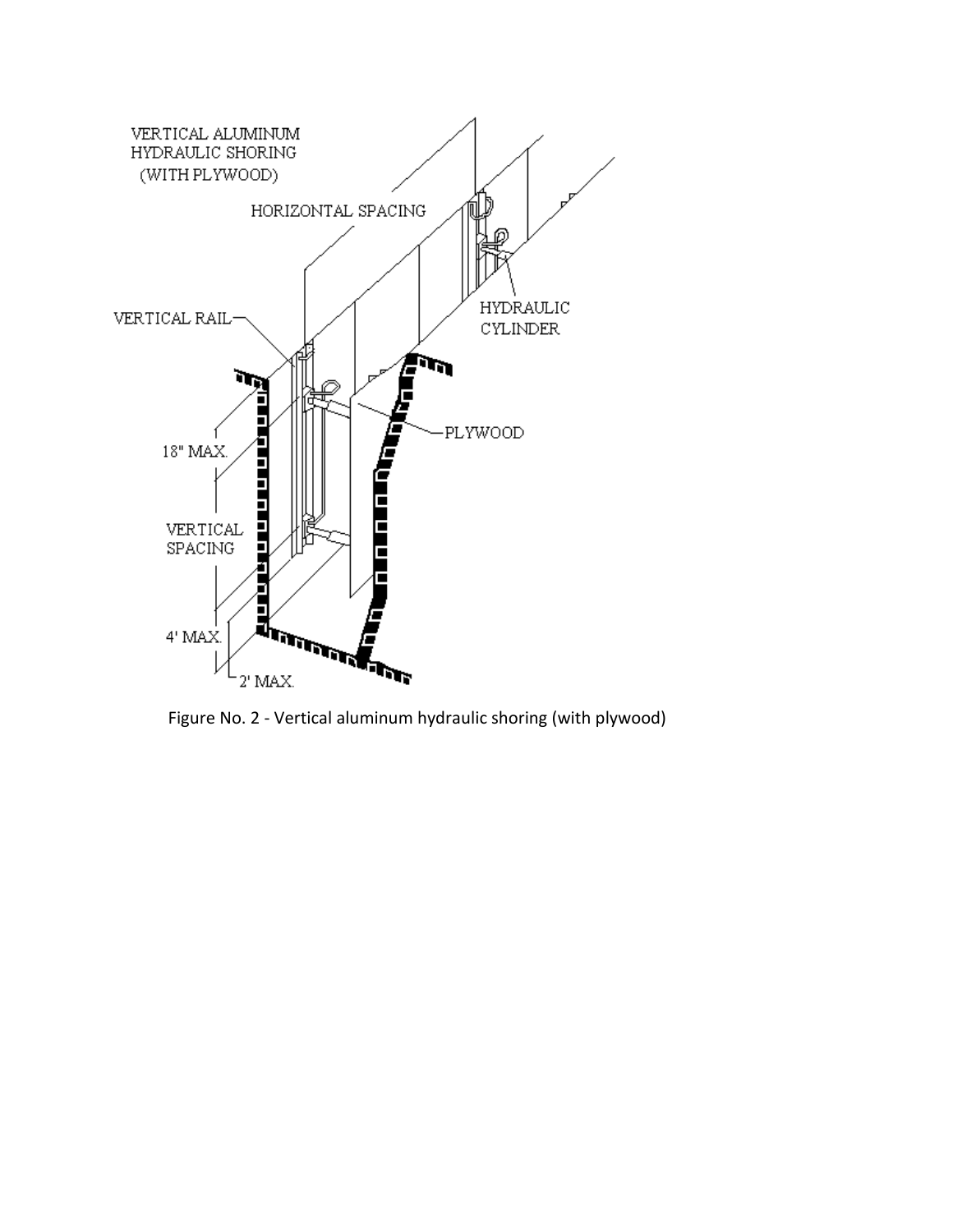

Figure No. 2 - Vertical aluminum hydraulic shoring (with plywood)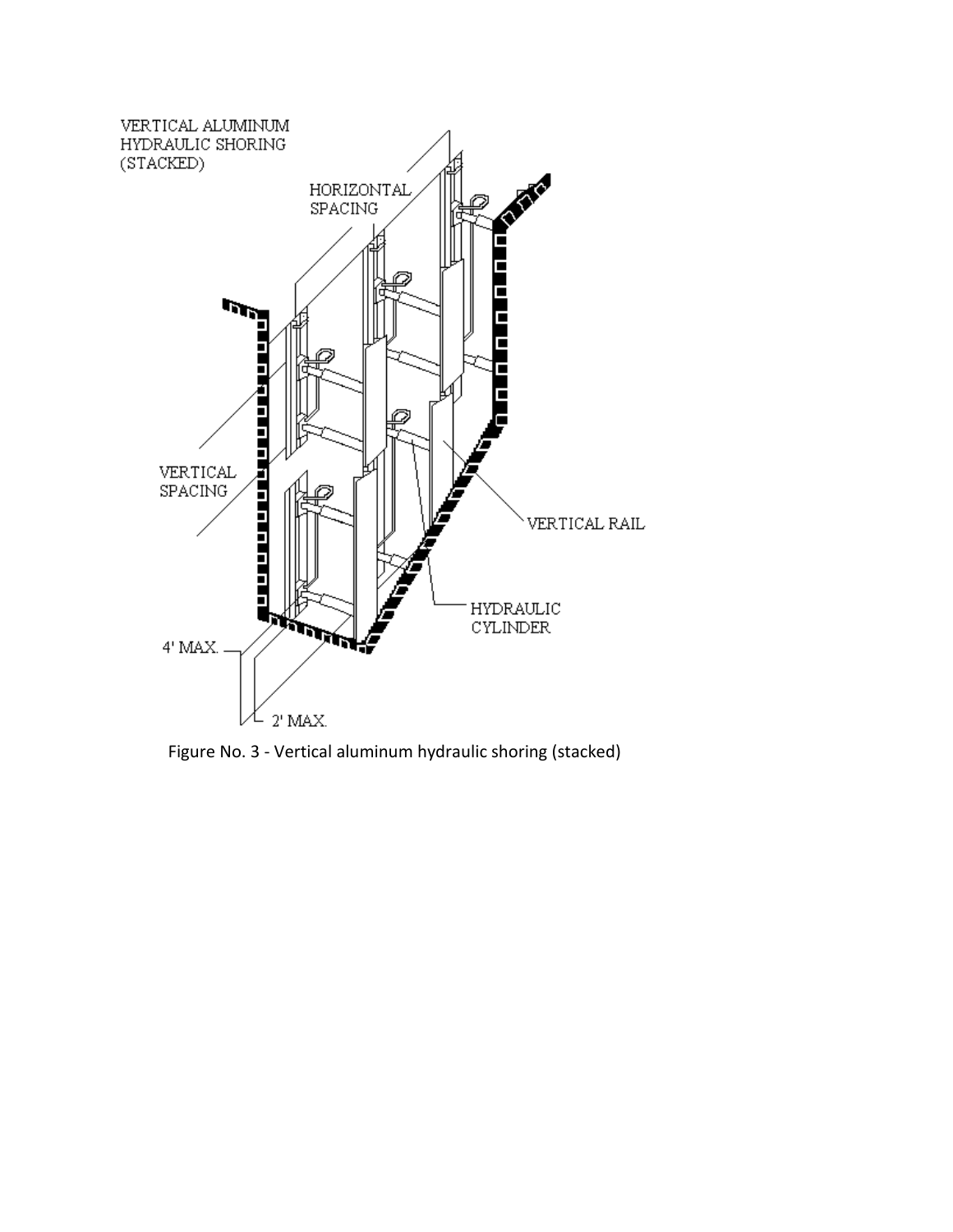

Figure No. 3 - Vertical aluminum hydraulic shoring (stacked)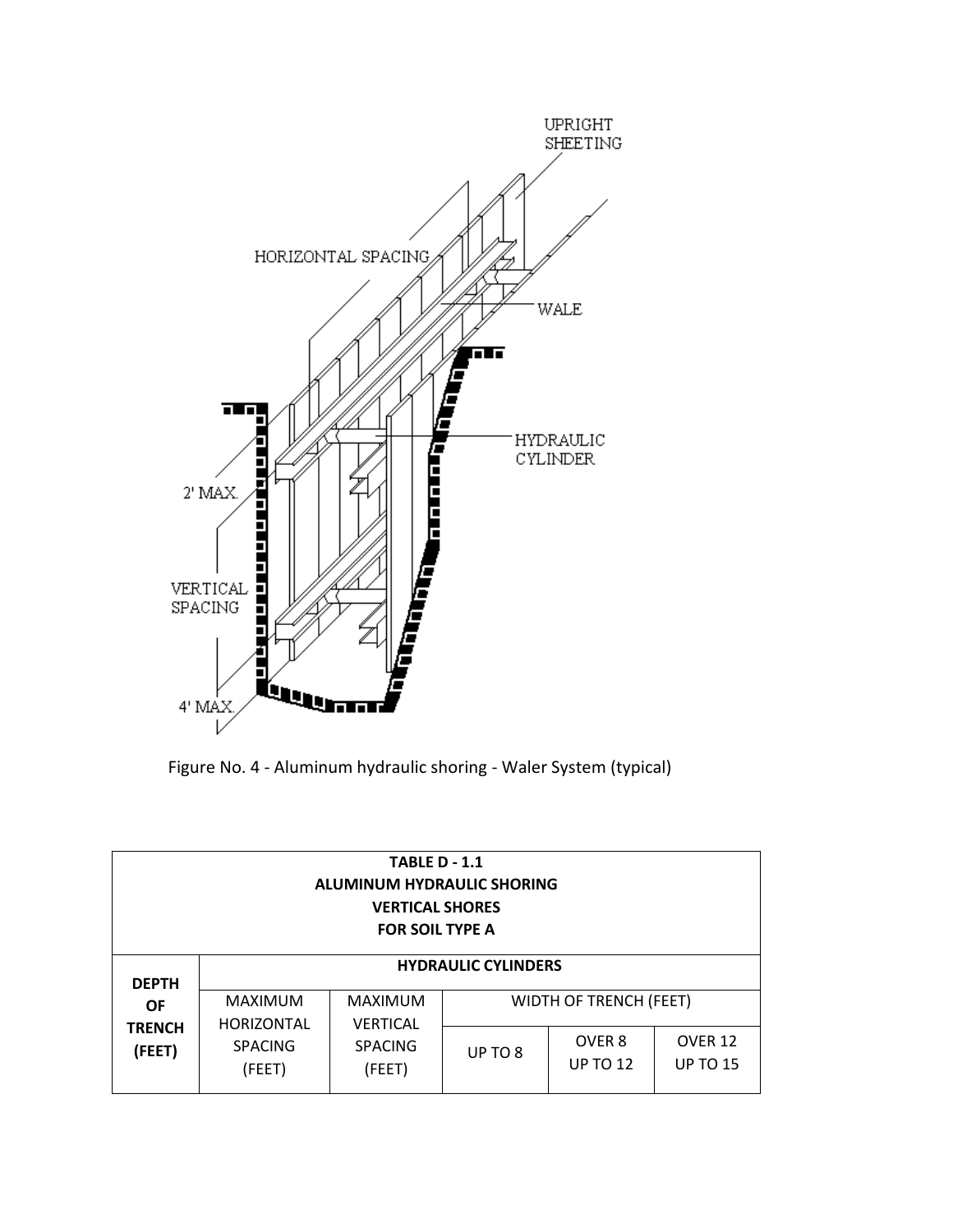

Figure No. 4 - Aluminum hydraulic shoring - Waler System (typical)

|              | <b>TABLE D - 1.1</b><br>ALUMINUM HYDRAULIC SHORING<br><b>VERTICAL SHORES</b><br><b>FOR SOIL TYPE A</b>                                                                                                |                |  |                               |  |  |  |  |
|--------------|-------------------------------------------------------------------------------------------------------------------------------------------------------------------------------------------------------|----------------|--|-------------------------------|--|--|--|--|
| <b>DEPTH</b> | <b>HYDRAULIC CYLINDERS</b>                                                                                                                                                                            |                |  |                               |  |  |  |  |
| <b>OF</b>    | <b>MAXIMUM</b>                                                                                                                                                                                        | <b>MAXIMUM</b> |  | <b>WIDTH OF TRENCH (FEET)</b> |  |  |  |  |
| (FEET)       | <b>HORIZONTAL</b><br><b>VERTICAL</b><br><b>TRENCH</b><br>OVER <sub>8</sub><br><b>OVER 12</b><br><b>SPACING</b><br><b>SPACING</b><br>UP TO 8<br><b>UP TO 12</b><br><b>UP TO 15</b><br>(FEET)<br>(FEET) |                |  |                               |  |  |  |  |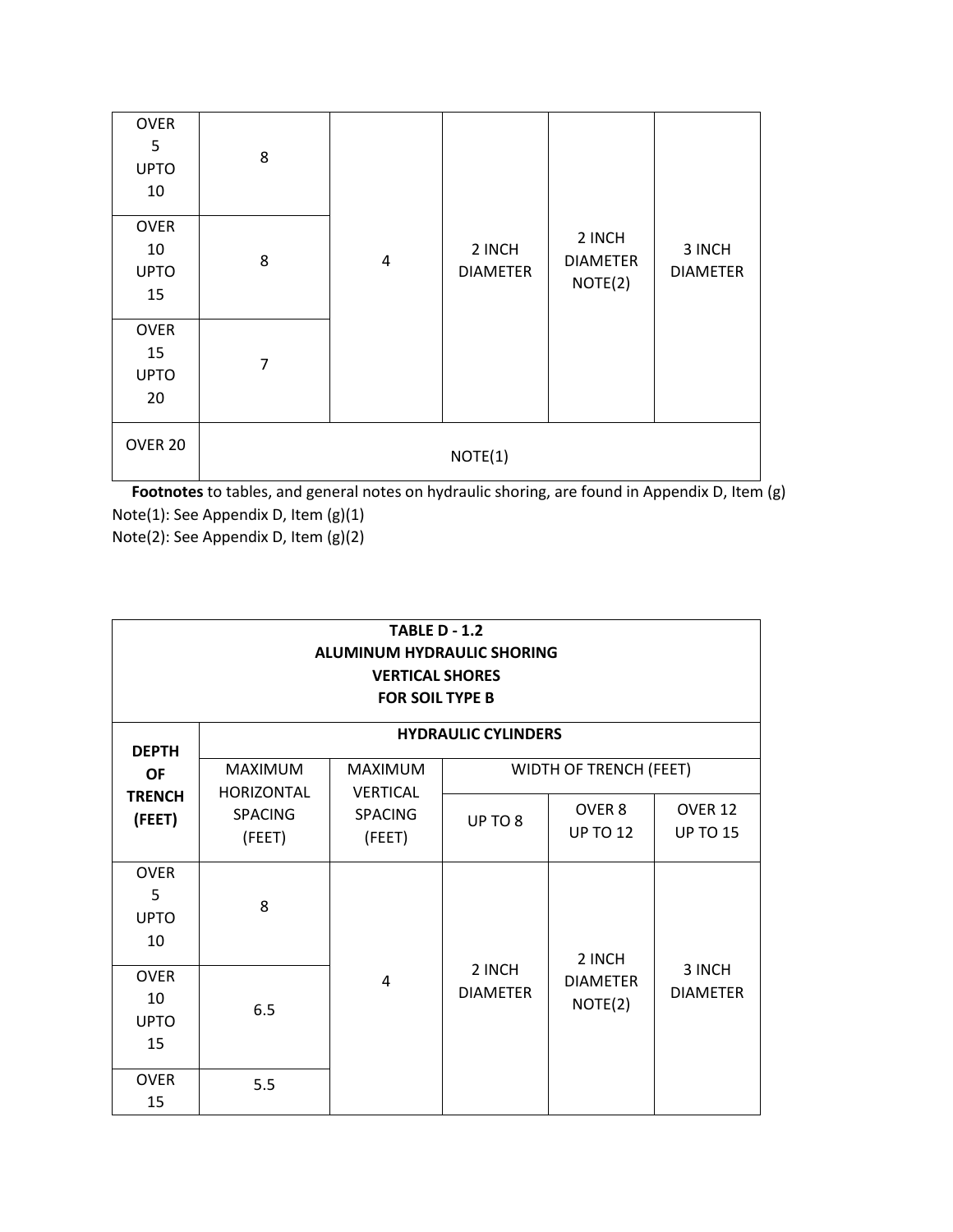| <b>OVER</b><br>5<br><b>UPTO</b><br>10  | 8              |   |                           |                                      |                           |
|----------------------------------------|----------------|---|---------------------------|--------------------------------------|---------------------------|
| <b>OVER</b><br>10<br><b>UPTO</b><br>15 | 8              | 4 | 2 INCH<br><b>DIAMETER</b> | 2 INCH<br><b>DIAMETER</b><br>NOTE(2) | 3 INCH<br><b>DIAMETER</b> |
| <b>OVER</b><br>15<br><b>UPTO</b><br>20 | $\overline{7}$ |   |                           |                                      |                           |
| OVER 20                                |                |   | NOTE(1)                   |                                      |                           |

 **Footnotes** to tables, and general notes on hydraulic shoring, are found in Appendix D, Item (g) Note(1): See Appendix D, Item (g)(1) Note(2): See Appendix D, Item (g)(2)

| <b>TABLE D - 1.2</b><br><b>ALUMINUM HYDRAULIC SHORING</b><br><b>VERTICAL SHORES</b><br><b>FOR SOIL TYPE B</b> |                                                                                                 |                                             |                           |                            |                                   |  |  |  |  |
|---------------------------------------------------------------------------------------------------------------|-------------------------------------------------------------------------------------------------|---------------------------------------------|---------------------------|----------------------------|-----------------------------------|--|--|--|--|
| <b>DEPTH</b><br><b>OF</b>                                                                                     | <b>HYDRAULIC CYLINDERS</b><br><b>MAXIMUM</b><br><b>MAXIMUM</b><br><b>WIDTH OF TRENCH (FEET)</b> |                                             |                           |                            |                                   |  |  |  |  |
| <b>TRENCH</b><br>(FEET)                                                                                       | <b>HORIZONTAL</b><br><b>SPACING</b><br>(FEET)                                                   | <b>VERTICAL</b><br><b>SPACING</b><br>(FEET) | UP TO 8                   | OVER 8<br><b>UP TO 12</b>  | <b>OVER 12</b><br><b>UP TO 15</b> |  |  |  |  |
| <b>OVER</b><br>5<br><b>UPTO</b><br>10                                                                         | 8                                                                                               |                                             |                           | 2 INCH                     |                                   |  |  |  |  |
| <b>OVER</b><br>10<br><b>UPTO</b><br>15                                                                        | 6.5                                                                                             | 4                                           | 2 INCH<br><b>DIAMETER</b> | <b>DIAMETER</b><br>NOTE(2) | 3 INCH<br><b>DIAMETER</b>         |  |  |  |  |
| <b>OVER</b><br>15                                                                                             | 5.5                                                                                             |                                             |                           |                            |                                   |  |  |  |  |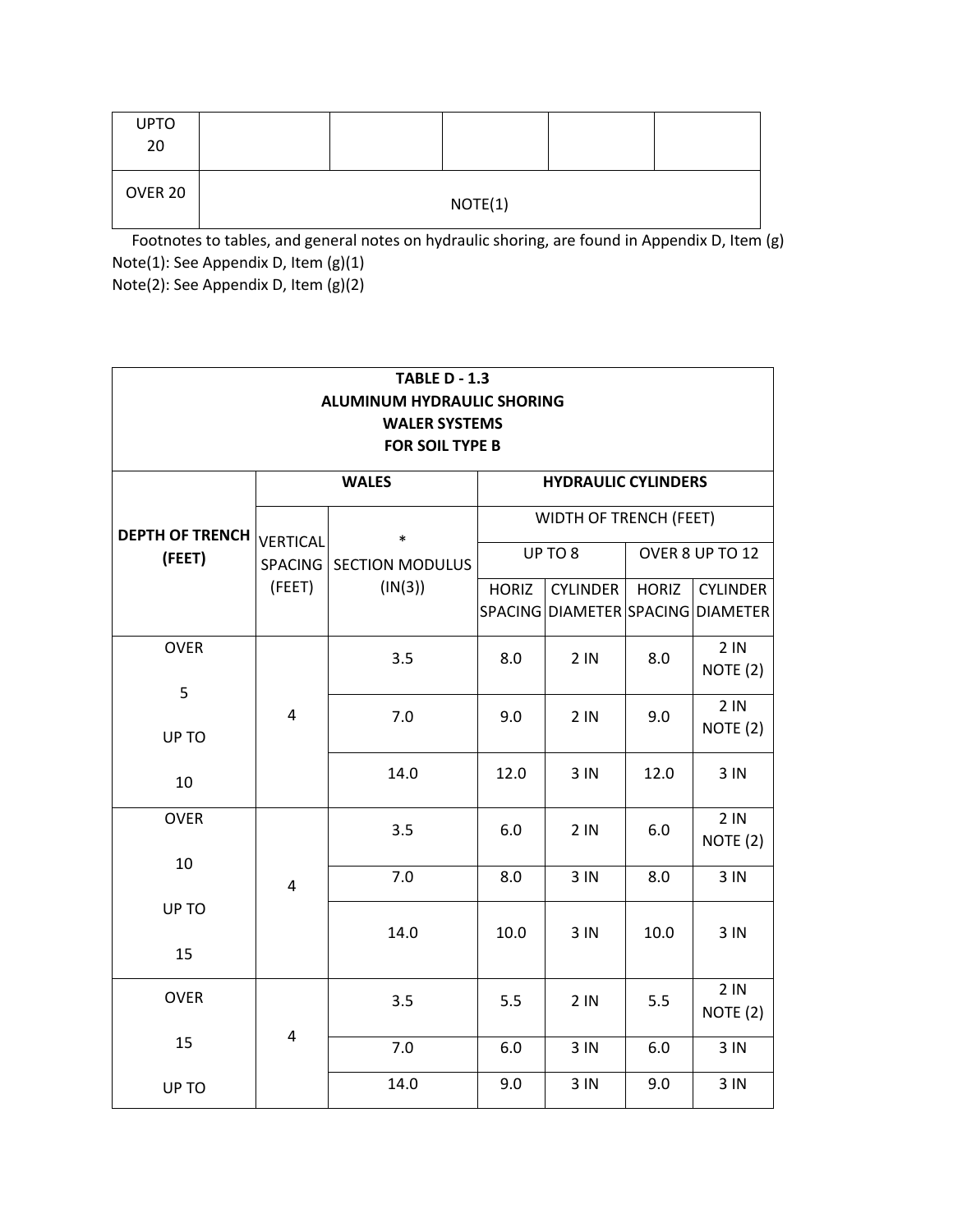| <b>UPTO</b><br>20 |  |         |  |
|-------------------|--|---------|--|
| OVER 20           |  | NOTE(1) |  |

 Footnotes to tables, and general notes on hydraulic shoring, are found in Appendix D, Item (g) Note(1): See Appendix D, Item (g)(1)

Note(2): See Appendix D, Item (g)(2)

| <b>TABLE D - 1.3</b>                           |                 |                        |              |                            |              |                                   |  |  |  |  |
|------------------------------------------------|-----------------|------------------------|--------------|----------------------------|--------------|-----------------------------------|--|--|--|--|
| <b>ALUMINUM HYDRAULIC SHORING</b>              |                 |                        |              |                            |              |                                   |  |  |  |  |
| <b>WALER SYSTEMS</b><br><b>FOR SOIL TYPE B</b> |                 |                        |              |                            |              |                                   |  |  |  |  |
|                                                |                 |                        |              |                            |              |                                   |  |  |  |  |
|                                                |                 | <b>WALES</b>           |              | <b>HYDRAULIC CYLINDERS</b> |              |                                   |  |  |  |  |
| <b>DEPTH OF TRENCH</b>                         | <b>VERTICAL</b> | $\ast$                 |              | WIDTH OF TRENCH (FEET)     |              |                                   |  |  |  |  |
| (FEET)                                         | SPACING         | <b>SECTION MODULUS</b> |              | UP TO 8                    |              | OVER 8 UP TO 12                   |  |  |  |  |
|                                                | (FEET)          | (IN(3))                | <b>HORIZ</b> | <b>CYLINDER</b>            | <b>HORIZ</b> | <b>CYLINDER</b>                   |  |  |  |  |
|                                                |                 |                        |              |                            |              | SPACING DIAMETER SPACING DIAMETER |  |  |  |  |
| <b>OVER</b>                                    |                 | 3.5                    | 8.0          | 2 IN                       | 8.0          | 2 IN<br>NOTE <sub>(2)</sub>       |  |  |  |  |
| 5<br>UP TO                                     | $\overline{4}$  | 7.0                    | 9.0          | $2$ IN                     | 9.0          | 2 IN<br>NOTE <sub>(2)</sub>       |  |  |  |  |
| 10                                             |                 | 14.0                   | 12.0         | 3 IN                       | 12.0         | 3 IN                              |  |  |  |  |
| <b>OVER</b>                                    |                 | 3.5                    | 6.0          | $2$ IN                     | 6.0          | 2 IN<br>NOTE <sub>(2)</sub>       |  |  |  |  |
| 10                                             | 4               | 7.0                    | 8.0          | 3 IN                       | 8.0          | 3 IN                              |  |  |  |  |
| UP TO                                          |                 | 14.0                   | 10.0         | 3 IN                       | 10.0         | 3 IN                              |  |  |  |  |
| 15                                             |                 |                        |              |                            |              |                                   |  |  |  |  |
| <b>OVER</b>                                    |                 | 3.5                    | 5.5          | $2$ IN                     | 5.5          | 2 IN<br>NOTE <sub>(2)</sub>       |  |  |  |  |
| 15                                             | 4               | 7.0                    | 6.0          | 3 IN                       | 6.0          | 3 IN                              |  |  |  |  |
| UP TO                                          |                 | 14.0                   | 9.0          | 3 IN                       | 9.0          | 3 IN                              |  |  |  |  |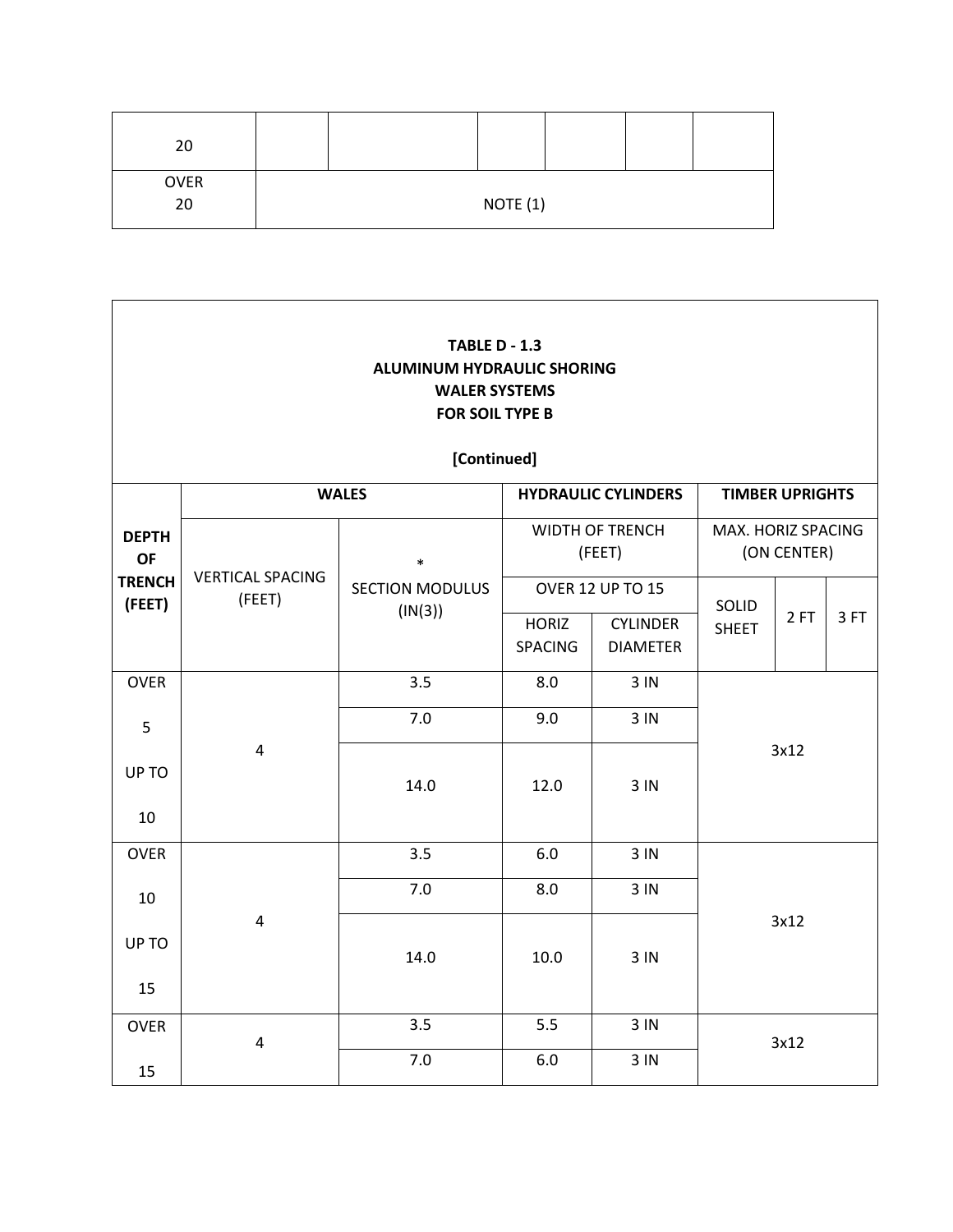| 20          |            |  |  |  |  |  |
|-------------|------------|--|--|--|--|--|
| <b>OVER</b> |            |  |  |  |  |  |
| 20          | NOTE $(1)$ |  |  |  |  |  |

| <b>TABLE D - 1.3</b><br>ALUMINUM HYDRAULIC SHORING<br><b>WALER SYSTEMS</b><br><b>FOR SOIL TYPE B</b><br>[Continued] |                         |                                   |                                |                                    |                        |             |     |  |
|---------------------------------------------------------------------------------------------------------------------|-------------------------|-----------------------------------|--------------------------------|------------------------------------|------------------------|-------------|-----|--|
|                                                                                                                     |                         | <b>WALES</b>                      |                                | <b>HYDRAULIC CYLINDERS</b>         | <b>TIMBER UPRIGHTS</b> |             |     |  |
| <b>DEPTH</b><br><b>OF</b>                                                                                           | <b>VERTICAL SPACING</b> | $\ast$                            |                                | <b>WIDTH OF TRENCH</b><br>(FEET)   | MAX. HORIZ SPACING     | (ON CENTER) |     |  |
| <b>TRENCH</b><br>(FEET)                                                                                             | (FEET)                  | <b>SECTION MODULUS</b><br>(IN(3)) |                                | <b>OVER 12 UP TO 15</b>            | SOLID                  |             |     |  |
|                                                                                                                     |                         |                                   | <b>HORIZ</b><br><b>SPACING</b> | <b>CYLINDER</b><br><b>DIAMETER</b> | <b>SHEET</b>           | 2FT         | 3FT |  |
| <b>OVER</b>                                                                                                         |                         | 3.5                               | 8.0                            | 3 IN                               |                        |             |     |  |
| 5                                                                                                                   |                         | 7.0                               | 9.0                            | 3 IN                               | 3x12                   |             |     |  |
| UP TO                                                                                                               | 4                       | 14.0                              | 12.0                           | 3 IN                               |                        |             |     |  |
| 10                                                                                                                  |                         |                                   |                                |                                    |                        |             |     |  |
| <b>OVER</b>                                                                                                         |                         | 3.5                               | 6.0                            | 3 IN                               |                        |             |     |  |
| 10                                                                                                                  |                         | $7.0\,$                           | 8.0                            | 3 IN                               |                        |             |     |  |
| UP TO                                                                                                               | $\overline{4}$          | 14.0                              | 10.0                           | 3 IN                               | 3x12                   |             |     |  |
| 15                                                                                                                  |                         |                                   |                                |                                    |                        |             |     |  |
| <b>OVER</b>                                                                                                         | $\overline{\mathbf{4}}$ | 3.5                               | 5.5                            | 3 IN                               |                        | 3x12        |     |  |
| 15                                                                                                                  |                         | 7.0                               | 6.0                            | 3 IN                               |                        |             |     |  |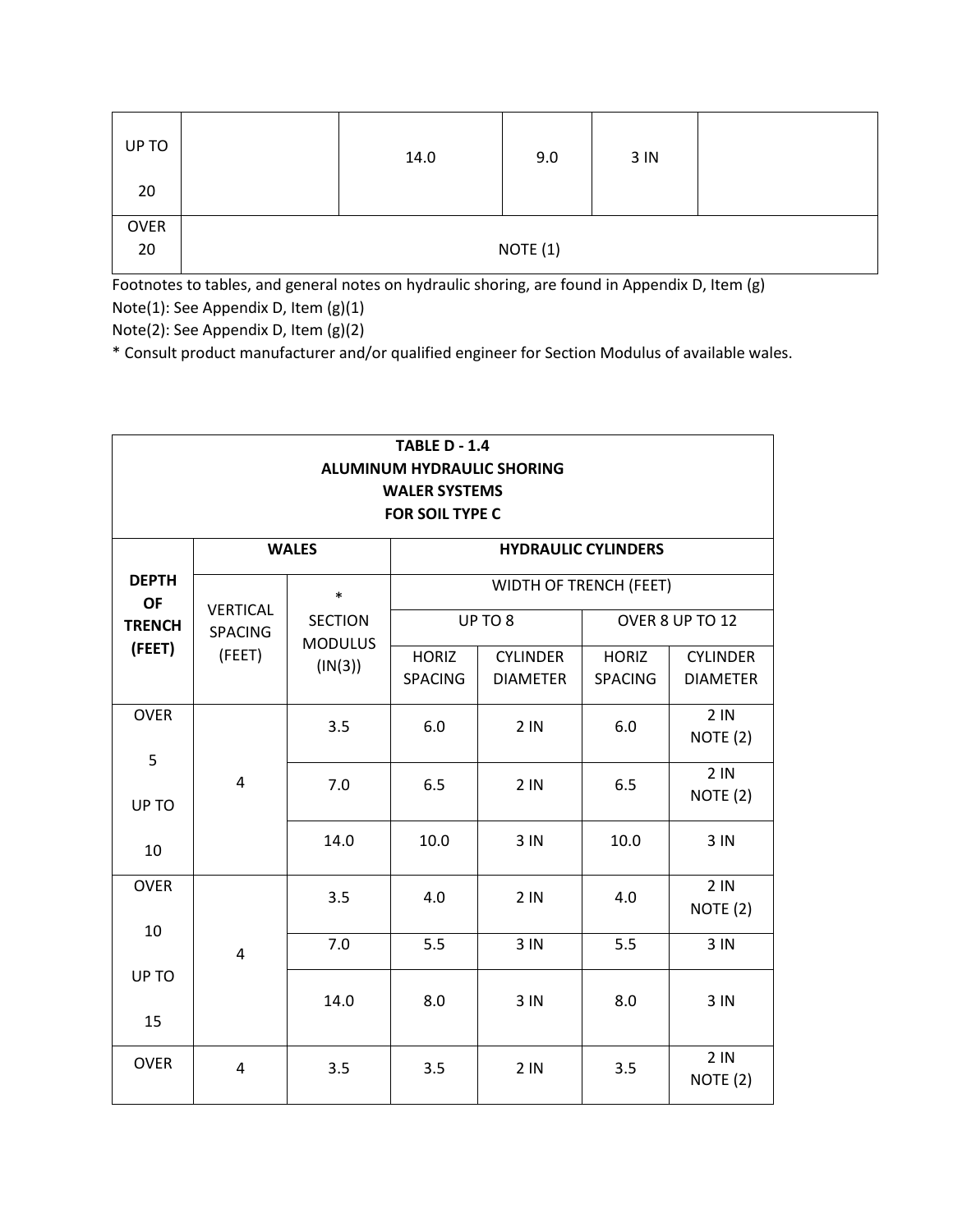| UP TO       | 14.0     | 9.0 | 3 IN |  |  |  |
|-------------|----------|-----|------|--|--|--|
| 20          |          |     |      |  |  |  |
| <b>OVER</b> |          |     |      |  |  |  |
| 20          | NOTE (1) |     |      |  |  |  |

Footnotes to tables, and general notes on hydraulic shoring, are found in Appendix D, Item (g)

Note(1): See Appendix D, Item (g)(1)

Note(2): See Appendix D, Item (g)(2)

\* Consult product manufacturer and/or qualified engineer for Section Modulus of available wales.

| <b>TABLE D - 1.4</b><br><b>ALUMINUM HYDRAULIC SHORING</b><br><b>WALER SYSTEMS</b><br><b>FOR SOIL TYPE C</b> |                                   |                           |                                |                                    |                                |                                    |  |
|-------------------------------------------------------------------------------------------------------------|-----------------------------------|---------------------------|--------------------------------|------------------------------------|--------------------------------|------------------------------------|--|
|                                                                                                             |                                   | <b>WALES</b>              |                                |                                    | <b>HYDRAULIC CYLINDERS</b>     |                                    |  |
| <b>DEPTH</b><br><b>OF</b>                                                                                   |                                   | $\ast$                    |                                | <b>WIDTH OF TRENCH (FEET)</b>      |                                |                                    |  |
| <b>TRENCH</b>                                                                                               | <b>VERTICAL</b><br><b>SPACING</b> | <b>SECTION</b>            |                                | UP TO 8                            |                                | OVER 8 UP TO 12                    |  |
| (FEET)                                                                                                      | (FEET)                            | <b>MODULUS</b><br>(IN(3)) | <b>HORIZ</b><br><b>SPACING</b> | <b>CYLINDER</b><br><b>DIAMETER</b> | <b>HORIZ</b><br><b>SPACING</b> | <b>CYLINDER</b><br><b>DIAMETER</b> |  |
| <b>OVER</b><br>5                                                                                            |                                   | 3.5                       | 6.0                            | 2 IN                               | 6.0                            | 2 IN<br>NOTE <sub>(2)</sub>        |  |
| UP TO                                                                                                       | $\overline{4}$                    | 7.0                       | 6.5                            | 2 IN                               | 6.5                            | 2 IN<br>NOTE <sub>(2)</sub>        |  |
| 10                                                                                                          |                                   | 14.0                      | 10.0                           | 3 IN                               | 10.0                           | 3 IN                               |  |
| <b>OVER</b><br>10                                                                                           |                                   | 3.5                       | 4.0                            | 2 IN                               | 4.0                            | 2 IN<br>NOTE <sub>(2)</sub>        |  |
|                                                                                                             | 4                                 | 7.0                       | 5.5                            | 3 IN                               | 5.5                            | 3 IN                               |  |
| UP TO<br>15                                                                                                 |                                   | 14.0                      | 8.0                            | 3 IN                               | 8.0                            | 3 IN                               |  |
| <b>OVER</b>                                                                                                 | $\overline{4}$                    | 3.5                       | 3.5                            | 2IN                                | 3.5                            | 2 IN<br>NOTE <sub>(2)</sub>        |  |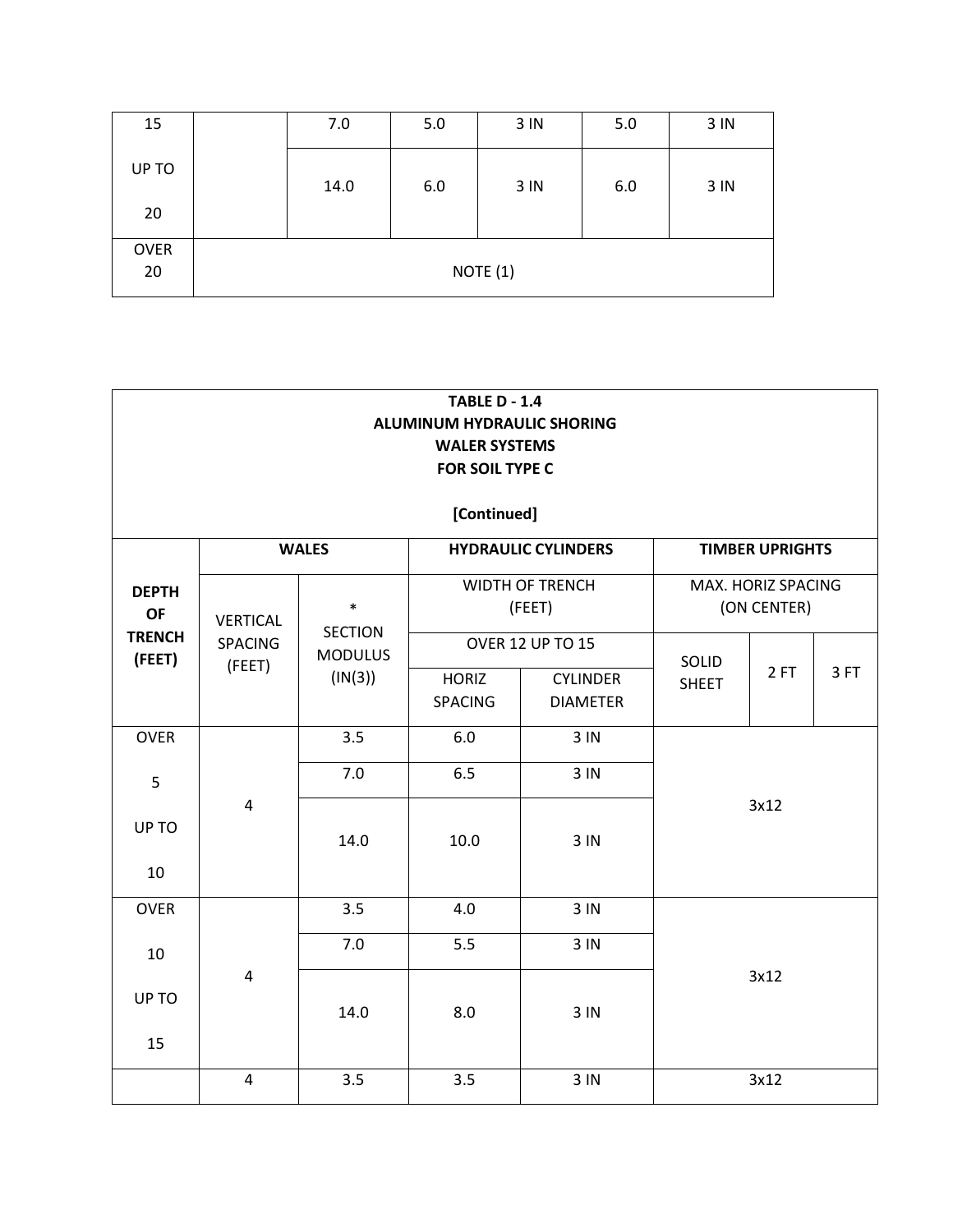| 15          | 7.0  | 5.0 | 3 IN     | 5.0 | 3 IN |
|-------------|------|-----|----------|-----|------|
| UP TO       | 14.0 | 6.0 | 3 IN     | 6.0 | 3 IN |
| 20          |      |     |          |     |      |
| <b>OVER</b> |      |     |          |     |      |
| 20          |      |     | NOTE (1) |     |      |

|                           | <b>TABLE D - 1.4</b><br><b>ALUMINUM HYDRAULIC SHORING</b><br><b>WALER SYSTEMS</b><br><b>FOR SOIL TYPE C</b> |                                  |                                |                                    |              |                                   |     |  |  |  |
|---------------------------|-------------------------------------------------------------------------------------------------------------|----------------------------------|--------------------------------|------------------------------------|--------------|-----------------------------------|-----|--|--|--|
|                           |                                                                                                             |                                  | [Continued]                    |                                    |              |                                   |     |  |  |  |
|                           |                                                                                                             | <b>WALES</b>                     |                                | <b>HYDRAULIC CYLINDERS</b>         |              | <b>TIMBER UPRIGHTS</b>            |     |  |  |  |
| <b>DEPTH</b><br><b>OF</b> | <b>VERTICAL</b>                                                                                             | $\ast$                           |                                | <b>WIDTH OF TRENCH</b><br>(FEET)   |              | MAX. HORIZ SPACING<br>(ON CENTER) |     |  |  |  |
| <b>TRENCH</b><br>(FEET)   | <b>SPACING</b><br>(FEET)                                                                                    | <b>SECTION</b><br><b>MODULUS</b> |                                | <b>OVER 12 UP TO 15</b>            | SOLID        |                                   |     |  |  |  |
|                           |                                                                                                             | (IN(3))                          | <b>HORIZ</b><br><b>SPACING</b> | <b>CYLINDER</b><br><b>DIAMETER</b> | <b>SHEET</b> | 2FT                               | 3FT |  |  |  |
| <b>OVER</b>               |                                                                                                             | 3.5                              | 6.0                            | 3 IN                               |              |                                   |     |  |  |  |
| 5                         |                                                                                                             | 7.0                              | 6.5                            | 3 IN                               |              |                                   |     |  |  |  |
| UP TO                     | $\overline{4}$                                                                                              | 14.0                             | 10.0                           | 3 IN                               | 3x12         |                                   |     |  |  |  |
| 10                        |                                                                                                             |                                  |                                |                                    |              |                                   |     |  |  |  |
| <b>OVER</b>               |                                                                                                             | 3.5                              | 4.0                            | 3 IN                               |              |                                   |     |  |  |  |
| 10                        |                                                                                                             | 7.0                              | 5.5                            | 3 IN                               |              |                                   |     |  |  |  |
| UP TO<br>15               | $\overline{4}$                                                                                              | 14.0                             | 8.0                            | 3 IN                               | 3x12         |                                   |     |  |  |  |
|                           | 4                                                                                                           | 3.5                              | 3.5                            | 3 IN                               |              | 3x12                              |     |  |  |  |
|                           |                                                                                                             |                                  |                                |                                    |              |                                   |     |  |  |  |